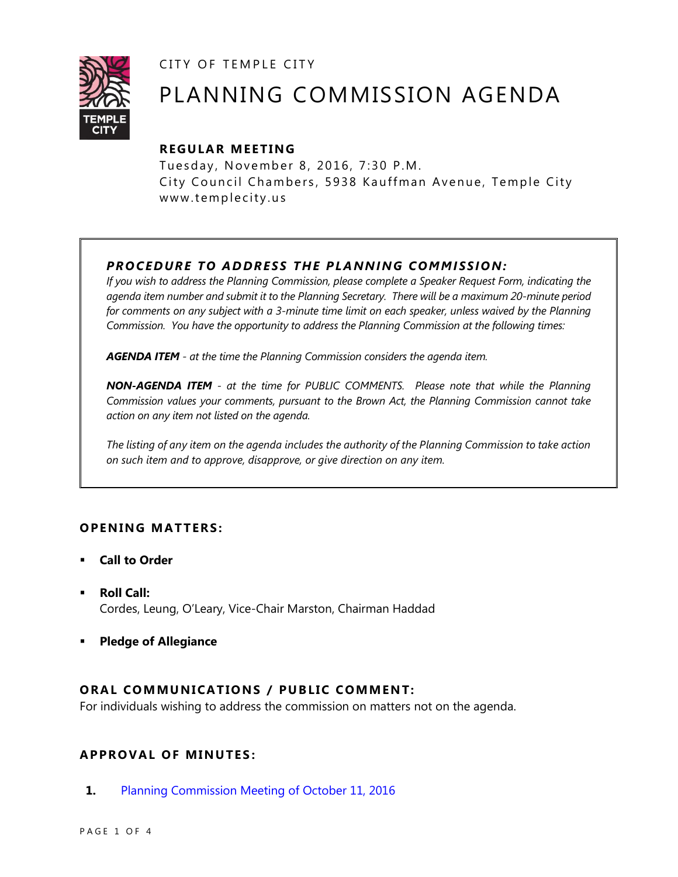CITY OF TEMPLE CITY



# PLANNING COMMISSION AGENDA

### **R EGULA R MEE TING**

Tuesday, November 8, 2016, 7:30 P.M. City Council Chambers, 5938 Kauffman Avenue, Temple City www.templecity.us

## *PRO CE DURE TO ADDRE SS THE P LA NNI NG COMM I SSION:*

*If you wish to address the Planning Commission, please complete a Speaker Request Form, indicating the agenda item number and submit it to the Planning Secretary. There will be a maximum 20-minute period*  for comments on any subject with a 3-minute time limit on each speaker, unless waived by the Planning *Commission. You have the opportunity to address the Planning Commission at the following times:*

*AGENDA ITEM - at the time the Planning Commission considers the agenda item.*

*NON-AGENDA ITEM - at the time for PUBLIC COMMENTS. Please note that while the Planning Commission values your comments, pursuant to the Brown Act, the Planning Commission cannot take action on any item not listed on the agenda.*

*The listing of any item on the agenda includes the authority of the Planning Commission to take action on such item and to approve, disapprove, or give direction on any item.*

#### **OPENING MATTERS:**

- **Call to Order**
- **Roll Call:** Cordes, Leung, O'Leary, Vice-Chair Marston, Chairman Haddad
- **Pledge of Allegiance**

#### **ORAL COMMUNICATIONS / PUBLIC COMMENT:**

For individuals wishing to address the commission on matters not on the agenda.

#### **APPRO VAL OF MINUTES :**

**1.** [Planning Commission Meeting of October 11, 2016](http://ca-templecity.civicplus.com/DocumentCenter/View/7036)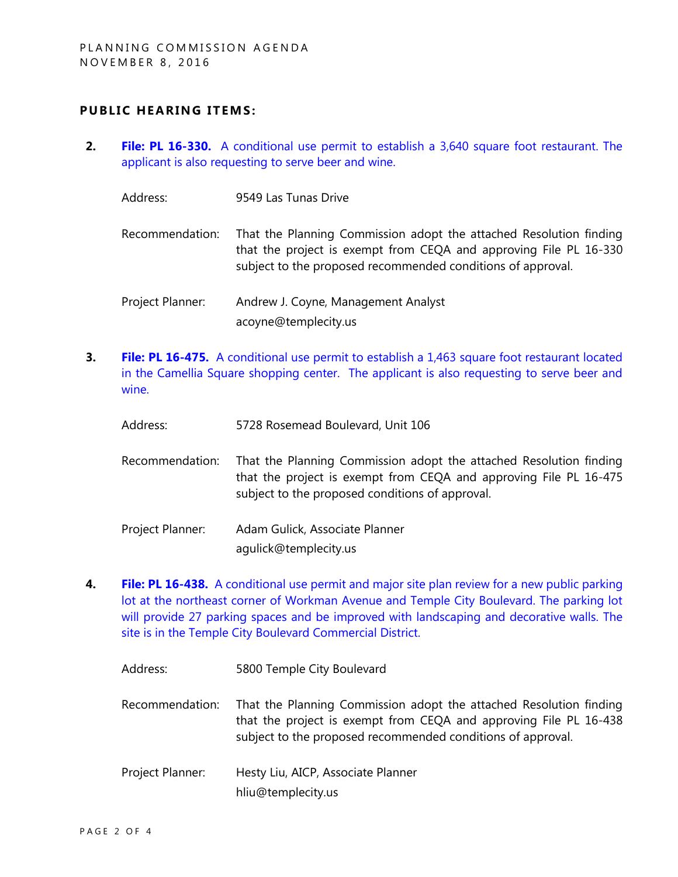#### **PUBLIC HEARING ITEMS:**

**2. File: PL 16-330.** [A conditional use permit to establish a 3,640 square foot restaurant. The](http://ca-templecity.civicplus.com/DocumentCenter/View/7034)  [applicant is also requesting to serve beer and wine.](http://ca-templecity.civicplus.com/DocumentCenter/View/7034)

| Address: | 9549 Las Tunas Drive |
|----------|----------------------|
|----------|----------------------|

- Recommendation: That the Planning Commission adopt the attached Resolution finding that the project is exempt from CEQA and approving File PL 16-330 subject to the proposed recommended conditions of approval.
- Project Planner: Andrew J. Coyne, Management Analyst acoyne@templecity.us
- **3. File: PL 16-475.** A conditional use permit to establish a 1,463 square foot restaurant located [in the Camellia Square shopping center. The applicant is also requesting to serve beer and](http://ca-templecity.civicplus.com/DocumentCenter/View/7035)  [wine.](http://ca-templecity.civicplus.com/DocumentCenter/View/7035)
	- Address: 5728 Rosemead Boulevard, Unit 106
	- Recommendation: That the Planning Commission adopt the attached Resolution finding that the project is exempt from CEQA and approving File PL 16-475 subject to the proposed conditions of approval.
	- Project Planner: Adam Gulick, Associate Planner agulick@templecity.us
- **4. File: PL 16-438.** [A conditional use permit and major site plan review](http://ca-templecity.civicplus.com/DocumentCenter/View/7033) for a new public parking [lot at the northeast corner of Workman Avenue and Temple City Boulevard. The parking lot](http://ca-templecity.civicplus.com/DocumentCenter/View/7033)  [will provide 27 parking spaces and be improved with landscaping and decorative walls. The](http://ca-templecity.civicplus.com/DocumentCenter/View/7033)  [site is in the Temple City Boulevard Commercial District.](http://ca-templecity.civicplus.com/DocumentCenter/View/7033)

| Address:         | 5800 Temple City Boulevard                                                                                                                                                                             |
|------------------|--------------------------------------------------------------------------------------------------------------------------------------------------------------------------------------------------------|
| Recommendation:  | That the Planning Commission adopt the attached Resolution finding<br>that the project is exempt from CEQA and approving File PL 16-438<br>subject to the proposed recommended conditions of approval. |
| Project Planner: | Hesty Liu, AICP, Associate Planner<br>hliu@templecity.us                                                                                                                                               |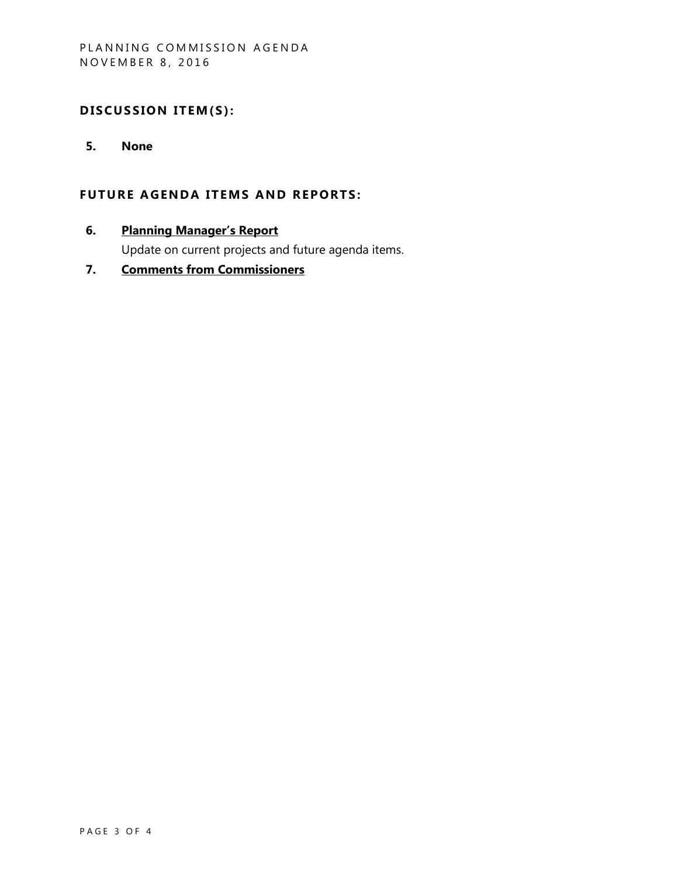## DISCUSSION ITEM(S):

**5. None**

#### **FUTURE AGENDA ITEMS AND REPORTS:**

**6. Planning Manager's Report**

Update on current projects and future agenda items.

**7. Comments from Commissioners**